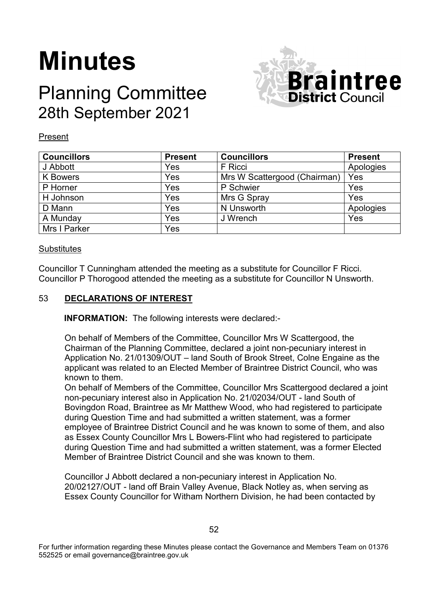# **Minutes**

# Planning Committee 28th September 2021



# Present

| <b>Councillors</b> | <b>Present</b> | <b>Councillors</b>           | <b>Present</b> |
|--------------------|----------------|------------------------------|----------------|
| J Abbott           | Yes            | F Ricci                      | Apologies      |
| <b>K</b> Bowers    | Yes            | Mrs W Scattergood (Chairman) | Yes            |
| P Horner           | Yes            | P Schwier                    | Yes            |
| H Johnson          | Yes            | Mrs G Spray                  | Yes            |
| D Mann             | Yes            | N Unsworth                   | Apologies      |
| A Munday           | Yes            | J Wrench                     | Yes            |
| Mrs I Parker       | Yes            |                              |                |

# **Substitutes**

Councillor T Cunningham attended the meeting as a substitute for Councillor F Ricci. Councillor P Thorogood attended the meeting as a substitute for Councillor N Unsworth.

# 53 **DECLARATIONS OF INTEREST**

**INFORMATION:** The following interests were declared:-

On behalf of Members of the Committee, Councillor Mrs W Scattergood, the Chairman of the Planning Committee, declared a joint non-pecuniary interest in Application No. 21/01309/OUT – land South of Brook Street, Colne Engaine as the applicant was related to an Elected Member of Braintree District Council, who was known to them.

On behalf of Members of the Committee, Councillor Mrs Scattergood declared a joint non-pecuniary interest also in Application No. 21/02034/OUT - land South of Bovingdon Road, Braintree as Mr Matthew Wood, who had registered to participate during Question Time and had submitted a written statement, was a former employee of Braintree District Council and he was known to some of them, and also as Essex County Councillor Mrs L Bowers-Flint who had registered to participate during Question Time and had submitted a written statement, was a former Elected Member of Braintree District Council and she was known to them.

Councillor J Abbott declared a non-pecuniary interest in Application No. 20/02127/OUT - land off Brain Valley Avenue, Black Notley as, when serving as Essex County Councillor for Witham Northern Division, he had been contacted by

For further information regarding these Minutes please contact the Governance and Members Team on 01376 552525 or email governance@braintree.gov.uk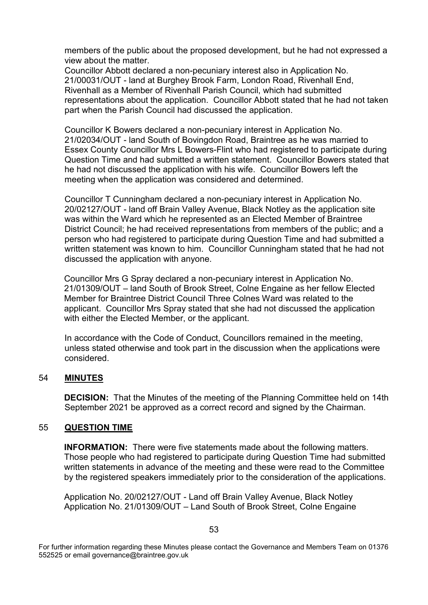members of the public about the proposed development, but he had not expressed a view about the matter.

Councillor Abbott declared a non-pecuniary interest also in Application No. 21/00031/OUT - land at Burghey Brook Farm, London Road, Rivenhall End, Rivenhall as a Member of Rivenhall Parish Council, which had submitted representations about the application. Councillor Abbott stated that he had not taken part when the Parish Council had discussed the application.

Councillor K Bowers declared a non-pecuniary interest in Application No. 21/02034/OUT - land South of Bovingdon Road, Braintree as he was married to Essex County Councillor Mrs L Bowers-Flint who had registered to participate during Question Time and had submitted a written statement. Councillor Bowers stated that he had not discussed the application with his wife. Councillor Bowers left the meeting when the application was considered and determined.

Councillor T Cunningham declared a non-pecuniary interest in Application No. 20/02127/OUT - land off Brain Valley Avenue, Black Notley as the application site was within the Ward which he represented as an Elected Member of Braintree District Council; he had received representations from members of the public; and a person who had registered to participate during Question Time and had submitted a written statement was known to him. Councillor Cunningham stated that he had not discussed the application with anyone.

Councillor Mrs G Spray declared a non-pecuniary interest in Application No. 21/01309/OUT – land South of Brook Street, Colne Engaine as her fellow Elected Member for Braintree District Council Three Colnes Ward was related to the applicant. Councillor Mrs Spray stated that she had not discussed the application with either the Elected Member, or the applicant.

In accordance with the Code of Conduct, Councillors remained in the meeting, unless stated otherwise and took part in the discussion when the applications were considered.

# 54 **MINUTES**

**DECISION:** That the Minutes of the meeting of the Planning Committee held on 14th September 2021 be approved as a correct record and signed by the Chairman.

#### 55 **QUESTION TIME**

**INFORMATION:** There were five statements made about the following matters. Those people who had registered to participate during Question Time had submitted written statements in advance of the meeting and these were read to the Committee by the registered speakers immediately prior to the consideration of the applications.

Application No. 20/02127/OUT - Land off Brain Valley Avenue, Black Notley Application No. 21/01309/OUT – Land South of Brook Street, Colne Engaine

For further information regarding these Minutes please contact the Governance and Members Team on 01376 552525 or email governance@braintree.gov.uk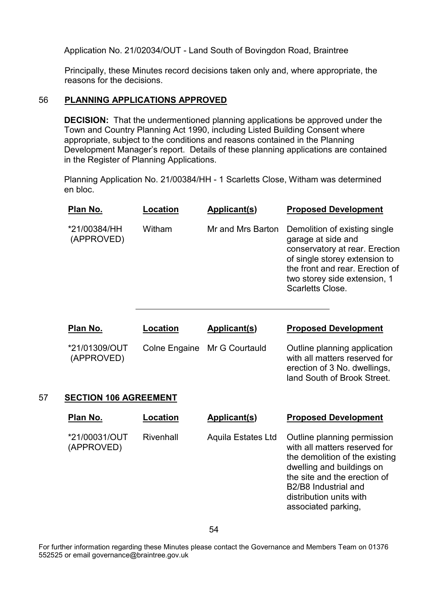Application No. 21/02034/OUT - Land South of Bovingdon Road, Braintree

Principally, these Minutes record decisions taken only and, where appropriate, the reasons for the decisions.

# 56 **PLANNING APPLICATIONS APPROVED**

**DECISION:** That the undermentioned planning applications be approved under the Town and Country Planning Act 1990, including Listed Building Consent where appropriate, subject to the conditions and reasons contained in the Planning Development Manager's report. Details of these planning applications are contained in the Register of Planning Applications.

Planning Application No. 21/00384/HH - 1 Scarletts Close, Witham was determined en bloc.

| Plan No.                    | Location | Applicant(s)                 | <b>Proposed Development</b>                                                                                                                                                                                   |
|-----------------------------|----------|------------------------------|---------------------------------------------------------------------------------------------------------------------------------------------------------------------------------------------------------------|
| *21/00384/HH<br>(APPROVED)  | Witham   | Mr and Mrs Barton            | Demolition of existing single<br>garage at side and<br>conservatory at rear. Erection<br>of single storey extension to<br>the front and rear. Erection of<br>two storey side extension, 1<br>Scarletts Close. |
| Plan No.                    | Location | Applicant(s)                 | <b>Proposed Development</b>                                                                                                                                                                                   |
| *21/01309/OUT<br>(APPROVED) |          | Colne Engaine Mr G Courtauld | Outline planning application<br>with all matters reserved for<br>erection of 3 No. dwellings,<br>land South of Brook Street.                                                                                  |
| CECTION 400 ACDEFMENT       |          |                              |                                                                                                                                                                                                               |

#### 57 **SECTION 106 AGREEMENT**

| Plan No.                    | Location  | Applicant(s)              | <b>Proposed Development</b>                                                                                                                                                                                                                                    |
|-----------------------------|-----------|---------------------------|----------------------------------------------------------------------------------------------------------------------------------------------------------------------------------------------------------------------------------------------------------------|
| *21/00031/OUT<br>(APPROVED) | Rivenhall | <b>Aquila Estates Ltd</b> | Outline planning permission<br>with all matters reserved for<br>the demolition of the existing<br>dwelling and buildings on<br>the site and the erection of<br>B <sub>2</sub> /B <sub>8</sub> Industrial and<br>distribution units with<br>associated parking, |

For further information regarding these Minutes please contact the Governance and Members Team on 01376 552525 or email governance@braintree.gov.uk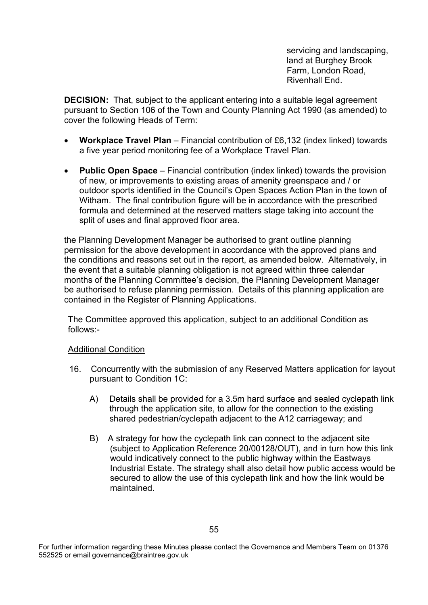servicing and landscaping, land at Burghey Brook Farm, London Road, Rivenhall End.

**DECISION:** That, subject to the applicant entering into a suitable legal agreement pursuant to Section 106 of the Town and County Planning Act 1990 (as amended) to cover the following Heads of Term:

- **Workplace Travel Plan** Financial contribution of £6,132 (index linked) towards a five year period monitoring fee of a Workplace Travel Plan.
- **Public Open Space** Financial contribution (index linked) towards the provision of new, or improvements to existing areas of amenity greenspace and / or outdoor sports identified in the Council's Open Spaces Action Plan in the town of Witham. The final contribution figure will be in accordance with the prescribed formula and determined at the reserved matters stage taking into account the split of uses and final approved floor area.

the Planning Development Manager be authorised to grant outline planning permission for the above development in accordance with the approved plans and the conditions and reasons set out in the report, as amended below. Alternatively, in the event that a suitable planning obligation is not agreed within three calendar months of the Planning Committee's decision, the Planning Development Manager be authorised to refuse planning permission. Details of this planning application are contained in the Register of Planning Applications.

The Committee approved this application, subject to an additional Condition as follows:-

# Additional Condition

- 16. Concurrently with the submission of any Reserved Matters application for layout pursuant to Condition 1C:
	- A) Details shall be provided for a 3.5m hard surface and sealed cyclepath link through the application site, to allow for the connection to the existing shared pedestrian/cyclepath adjacent to the A12 carriageway; and
	- B) A strategy for how the cyclepath link can connect to the adjacent site (subject to Application Reference 20/00128/OUT), and in turn how this link would indicatively connect to the public highway within the Eastways Industrial Estate. The strategy shall also detail how public access would be secured to allow the use of this cyclepath link and how the link would be maintained.

For further information regarding these Minutes please contact the Governance and Members Team on 01376 552525 or email governance@braintree.gov.uk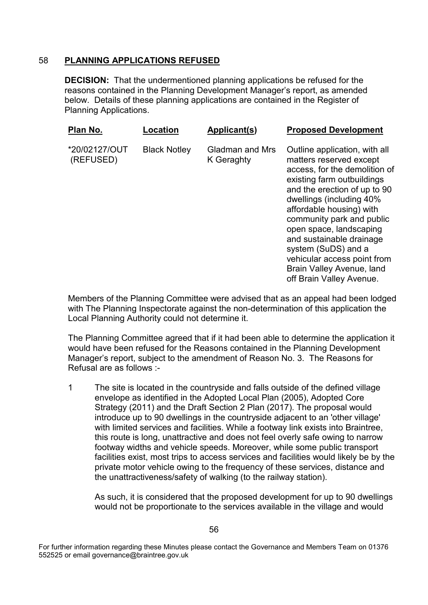# 58 **PLANNING APPLICATIONS REFUSED**

**DECISION:** That the undermentioned planning applications be refused for the reasons contained in the Planning Development Manager's report, as amended below. Details of these planning applications are contained in the Register of Planning Applications.

| Plan No.                   | Location            | Applicant(s)                  | <b>Proposed Development</b>                                                                                                                                                                                                                                                                                                                                                                                        |
|----------------------------|---------------------|-------------------------------|--------------------------------------------------------------------------------------------------------------------------------------------------------------------------------------------------------------------------------------------------------------------------------------------------------------------------------------------------------------------------------------------------------------------|
| *20/02127/OUT<br>(REFUSED) | <b>Black Notley</b> | Gladman and Mrs<br>K Geraghty | Outline application, with all<br>matters reserved except<br>access, for the demolition of<br>existing farm outbuildings<br>and the erection of up to 90<br>dwellings (including 40%<br>affordable housing) with<br>community park and public<br>open space, landscaping<br>and sustainable drainage<br>system (SuDS) and a<br>vehicular access point from<br>Brain Valley Avenue, land<br>off Brain Valley Avenue. |

Members of the Planning Committee were advised that as an appeal had been lodged with The Planning Inspectorate against the non-determination of this application the Local Planning Authority could not determine it.

The Planning Committee agreed that if it had been able to determine the application it would have been refused for the Reasons contained in the Planning Development Manager's report, subject to the amendment of Reason No. 3. The Reasons for Refusal are as follows :-

1 The site is located in the countryside and falls outside of the defined village envelope as identified in the Adopted Local Plan (2005), Adopted Core Strategy (2011) and the Draft Section 2 Plan (2017). The proposal would introduce up to 90 dwellings in the countryside adjacent to an 'other village' with limited services and facilities. While a footway link exists into Braintree, this route is long, unattractive and does not feel overly safe owing to narrow footway widths and vehicle speeds. Moreover, while some public transport facilities exist, most trips to access services and facilities would likely be by the private motor vehicle owing to the frequency of these services, distance and the unattractiveness/safety of walking (to the railway station).

As such, it is considered that the proposed development for up to 90 dwellings would not be proportionate to the services available in the village and would

For further information regarding these Minutes please contact the Governance and Members Team on 01376 552525 or email governance@braintree.gov.uk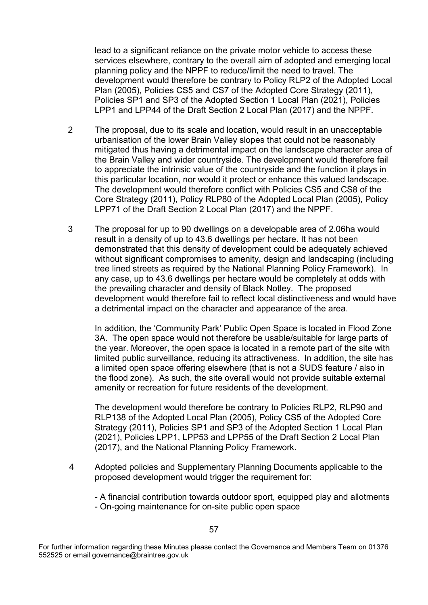lead to a significant reliance on the private motor vehicle to access these services elsewhere, contrary to the overall aim of adopted and emerging local planning policy and the NPPF to reduce/limit the need to travel. The development would therefore be contrary to Policy RLP2 of the Adopted Local Plan (2005), Policies CS5 and CS7 of the Adopted Core Strategy (2011), Policies SP1 and SP3 of the Adopted Section 1 Local Plan (2021), Policies LPP1 and LPP44 of the Draft Section 2 Local Plan (2017) and the NPPF.

- 2 The proposal, due to its scale and location, would result in an unacceptable urbanisation of the lower Brain Valley slopes that could not be reasonably mitigated thus having a detrimental impact on the landscape character area of the Brain Valley and wider countryside. The development would therefore fail to appreciate the intrinsic value of the countryside and the function it plays in this particular location, nor would it protect or enhance this valued landscape. The development would therefore conflict with Policies CS5 and CS8 of the Core Strategy (2011), Policy RLP80 of the Adopted Local Plan (2005), Policy LPP71 of the Draft Section 2 Local Plan (2017) and the NPPF.
- 3 The proposal for up to 90 dwellings on a developable area of 2.06ha would result in a density of up to 43.6 dwellings per hectare. It has not been demonstrated that this density of development could be adequately achieved without significant compromises to amenity, design and landscaping (including tree lined streets as required by the National Planning Policy Framework). In any case, up to 43.6 dwellings per hectare would be completely at odds with the prevailing character and density of Black Notley. The proposed development would therefore fail to reflect local distinctiveness and would have a detrimental impact on the character and appearance of the area.

In addition, the 'Community Park' Public Open Space is located in Flood Zone 3A. The open space would not therefore be usable/suitable for large parts of the year. Moreover, the open space is located in a remote part of the site with limited public surveillance, reducing its attractiveness. In addition, the site has a limited open space offering elsewhere (that is not a SUDS feature / also in the flood zone). As such, the site overall would not provide suitable external amenity or recreation for future residents of the development.

The development would therefore be contrary to Policies RLP2, RLP90 and RLP138 of the Adopted Local Plan (2005), Policy CS5 of the Adopted Core Strategy (2011), Policies SP1 and SP3 of the Adopted Section 1 Local Plan (2021), Policies LPP1, LPP53 and LPP55 of the Draft Section 2 Local Plan (2017), and the National Planning Policy Framework.

4 Adopted policies and Supplementary Planning Documents applicable to the proposed development would trigger the requirement for:

- A financial contribution towards outdoor sport, equipped play and allotments - On-going maintenance for on-site public open space

For further information regarding these Minutes please contact the Governance and Members Team on 01376 552525 or email governance@braintree.gov.uk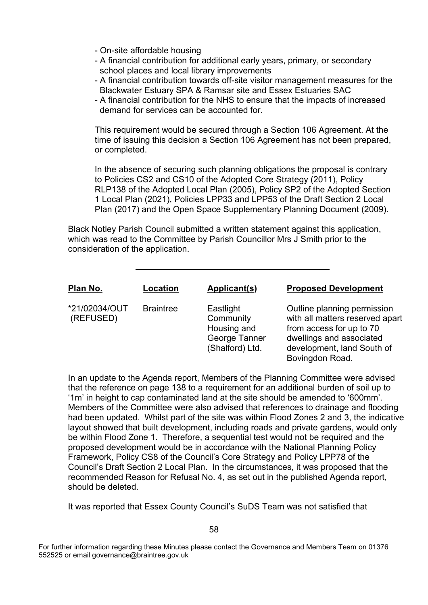- On-site affordable housing
- A financial contribution for additional early years, primary, or secondary school places and local library improvements
- A financial contribution towards off-site visitor management measures for the Blackwater Estuary SPA & Ramsar site and Essex Estuaries SAC
- A financial contribution for the NHS to ensure that the impacts of increased demand for services can be accounted for.

This requirement would be secured through a Section 106 Agreement. At the time of issuing this decision a Section 106 Agreement has not been prepared, or completed.

In the absence of securing such planning obligations the proposal is contrary to Policies CS2 and CS10 of the Adopted Core Strategy (2011), Policy RLP138 of the Adopted Local Plan (2005), Policy SP2 of the Adopted Section 1 Local Plan (2021), Policies LPP33 and LPP53 of the Draft Section 2 Local Plan (2017) and the Open Space Supplementary Planning Document (2009).

Black Notley Parish Council submitted a written statement against this application, which was read to the Committee by Parish Councillor Mrs J Smith prior to the consideration of the application.



In an update to the Agenda report, Members of the Planning Committee were advised that the reference on page 138 to a requirement for an additional burden of soil up to '1m' in height to cap contaminated land at the site should be amended to '600mm'. Members of the Committee were also advised that references to drainage and flooding had been updated. Whilst part of the site was within Flood Zones 2 and 3, the indicative layout showed that built development, including roads and private gardens, would only be within Flood Zone 1. Therefore, a sequential test would not be required and the proposed development would be in accordance with the National Planning Policy Framework, Policy CS8 of the Council's Core Strategy and Policy LPP78 of the Council's Draft Section 2 Local Plan. In the circumstances, it was proposed that the recommended Reason for Refusal No. 4, as set out in the published Agenda report, should be deleted.

It was reported that Essex County Council's SuDS Team was not satisfied that

For further information regarding these Minutes please contact the Governance and Members Team on 01376 552525 or email governance@braintree.gov.uk